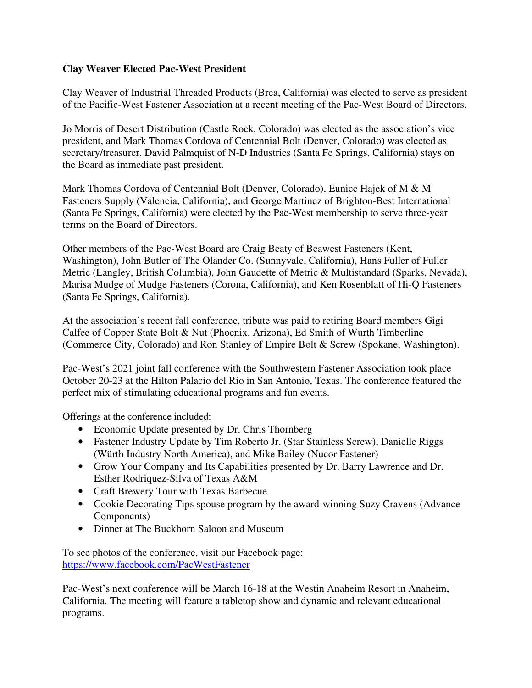## **Clay Weaver Elected Pac-West President**

Clay Weaver of Industrial Threaded Products (Brea, California) was elected to serve as president of the Pacific-West Fastener Association at a recent meeting of the Pac-West Board of Directors.

Jo Morris of Desert Distribution (Castle Rock, Colorado) was elected as the association's vice president, and Mark Thomas Cordova of Centennial Bolt (Denver, Colorado) was elected as secretary/treasurer. David Palmquist of N-D Industries (Santa Fe Springs, California) stays on the Board as immediate past president.

Mark Thomas Cordova of Centennial Bolt (Denver, Colorado), Eunice Hajek of M & M Fasteners Supply (Valencia, California), and George Martinez of Brighton-Best International (Santa Fe Springs, California) were elected by the Pac-West membership to serve three-year terms on the Board of Directors.

Other members of the Pac-West Board are Craig Beaty of Beawest Fasteners (Kent, Washington), John Butler of The Olander Co. (Sunnyvale, California), Hans Fuller of Fuller Metric (Langley, British Columbia), John Gaudette of Metric & Multistandard (Sparks, Nevada), Marisa Mudge of Mudge Fasteners (Corona, California), and Ken Rosenblatt of Hi-Q Fasteners (Santa Fe Springs, California).

At the association's recent fall conference, tribute was paid to retiring Board members Gigi Calfee of Copper State Bolt & Nut (Phoenix, Arizona), Ed Smith of Wurth Timberline (Commerce City, Colorado) and Ron Stanley of Empire Bolt & Screw (Spokane, Washington).

Pac-West's 2021 joint fall conference with the Southwestern Fastener Association took place October 20-23 at the Hilton Palacio del Rio in San Antonio, Texas. The conference featured the perfect mix of stimulating educational programs and fun events.

Offerings at the conference included:

- Economic Update presented by Dr. Chris Thornberg
- Fastener Industry Update by Tim Roberto Jr. (Star Stainless Screw), Danielle Riggs (Würth Industry North America), and Mike Bailey (Nucor Fastener)
- Grow Your Company and Its Capabilities presented by Dr. Barry Lawrence and Dr. Esther Rodriquez-Silva of Texas A&M
- Craft Brewery Tour with Texas Barbecue
- Cookie Decorating Tips spouse program by the award-winning Suzy Cravens (Advance Components)
- Dinner at The Buckhorn Saloon and Museum

To see photos of the conference, visit our Facebook page: https://www.facebook.com/PacWestFastener

Pac-West's next conference will be March 16-18 at the Westin Anaheim Resort in Anaheim, California. The meeting will feature a tabletop show and dynamic and relevant educational programs.